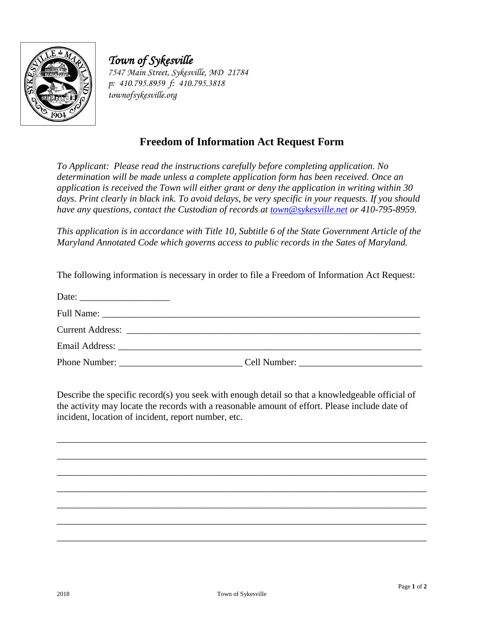

*Town of Sykesville 7547 Main Street, Sykesville, MD 21784 p: 410.795.8959 f: 410.795.3818 townofsykesville.org*

## **Freedom of Information Act Request Form**

*To Applicant: Please read the instructions carefully before completing application. No determination will be made unless a complete application form has been received. Once an application is received the Town will either grant or deny the application in writing within 30 days. Print clearly in black ink. To avoid delays, be very specific in your requests. If you should have any questions, contact the Custodian of records at [town@sykesville.net](mailto:town@sykesville.net) or 410-795-8959.* 

*This application is in accordance with Title 10, Subtitle 6 of the State Government Article of the Maryland Annotated Code which governs access to public records in the Sates of Maryland.*

The following information is necessary in order to file a Freedom of Information Act Request:

| Phone Number: |  |
|---------------|--|

Describe the specific record(s) you seek with enough detail so that a knowledgeable official of the activity may locate the records with a reasonable amount of effort. Please include date of incident, location of incident, report number, etc.

\_\_\_\_\_\_\_\_\_\_\_\_\_\_\_\_\_\_\_\_\_\_\_\_\_\_\_\_\_\_\_\_\_\_\_\_\_\_\_\_\_\_\_\_\_\_\_\_\_\_\_\_\_\_\_\_\_\_\_\_\_\_\_\_\_\_\_\_\_\_\_\_\_\_\_\_\_\_

\_\_\_\_\_\_\_\_\_\_\_\_\_\_\_\_\_\_\_\_\_\_\_\_\_\_\_\_\_\_\_\_\_\_\_\_\_\_\_\_\_\_\_\_\_\_\_\_\_\_\_\_\_\_\_\_\_\_\_\_\_\_\_\_\_\_\_\_\_\_\_\_\_\_\_\_\_\_

\_\_\_\_\_\_\_\_\_\_\_\_\_\_\_\_\_\_\_\_\_\_\_\_\_\_\_\_\_\_\_\_\_\_\_\_\_\_\_\_\_\_\_\_\_\_\_\_\_\_\_\_\_\_\_\_\_\_\_\_\_\_\_\_\_\_\_\_\_\_\_\_\_\_\_\_\_\_

\_\_\_\_\_\_\_\_\_\_\_\_\_\_\_\_\_\_\_\_\_\_\_\_\_\_\_\_\_\_\_\_\_\_\_\_\_\_\_\_\_\_\_\_\_\_\_\_\_\_\_\_\_\_\_\_\_\_\_\_\_\_\_\_\_\_\_\_\_\_\_\_\_\_\_\_\_\_

\_\_\_\_\_\_\_\_\_\_\_\_\_\_\_\_\_\_\_\_\_\_\_\_\_\_\_\_\_\_\_\_\_\_\_\_\_\_\_\_\_\_\_\_\_\_\_\_\_\_\_\_\_\_\_\_\_\_\_\_\_\_\_\_\_\_\_\_\_\_\_\_\_\_\_\_\_\_

\_\_\_\_\_\_\_\_\_\_\_\_\_\_\_\_\_\_\_\_\_\_\_\_\_\_\_\_\_\_\_\_\_\_\_\_\_\_\_\_\_\_\_\_\_\_\_\_\_\_\_\_\_\_\_\_\_\_\_\_\_\_\_\_\_\_\_\_\_\_\_\_\_\_\_\_\_\_

\_\_\_\_\_\_\_\_\_\_\_\_\_\_\_\_\_\_\_\_\_\_\_\_\_\_\_\_\_\_\_\_\_\_\_\_\_\_\_\_\_\_\_\_\_\_\_\_\_\_\_\_\_\_\_\_\_\_\_\_\_\_\_\_\_\_\_\_\_\_\_\_\_\_\_\_\_\_